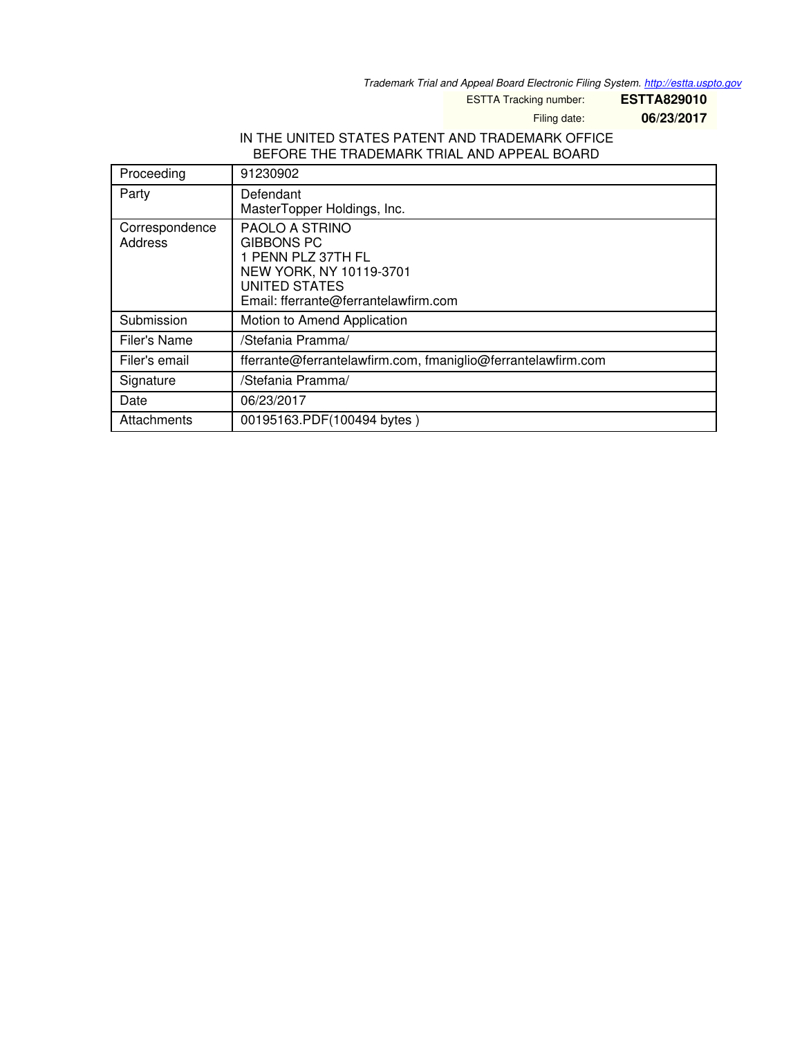*Trademark Trial and Appeal Board Electronic Filing System. <http://estta.uspto.gov>*

ESTTA Tracking number: **ESTTA829010**

Filing date: **06/23/2017**

# IN THE UNITED STATES PATENT AND TRADEMARK OFFICE BEFORE THE TRADEMARK TRIAL AND APPEAL BOARD

| Proceeding                | 91230902                                                                                                                                             |
|---------------------------|------------------------------------------------------------------------------------------------------------------------------------------------------|
| Party                     | Defendant<br>MasterTopper Holdings, Inc.                                                                                                             |
| Correspondence<br>Address | PAOLO A STRINO<br><b>GIBBONS PC</b><br>1 PENN PLZ 37TH FL<br>NEW YORK, NY 10119-3701<br><b>UNITED STATES</b><br>Email: fferrante@ferrantelawfirm.com |
| Submission                | Motion to Amend Application                                                                                                                          |
| Filer's Name              | /Stefania Pramma/                                                                                                                                    |
| Filer's email             | fferrante@ferrantelawfirm.com, fmaniglio@ferrantelawfirm.com                                                                                         |
| Signature                 | /Stefania Pramma/                                                                                                                                    |
| Date                      | 06/23/2017                                                                                                                                           |
| Attachments               | 00195163.PDF(100494 bytes)                                                                                                                           |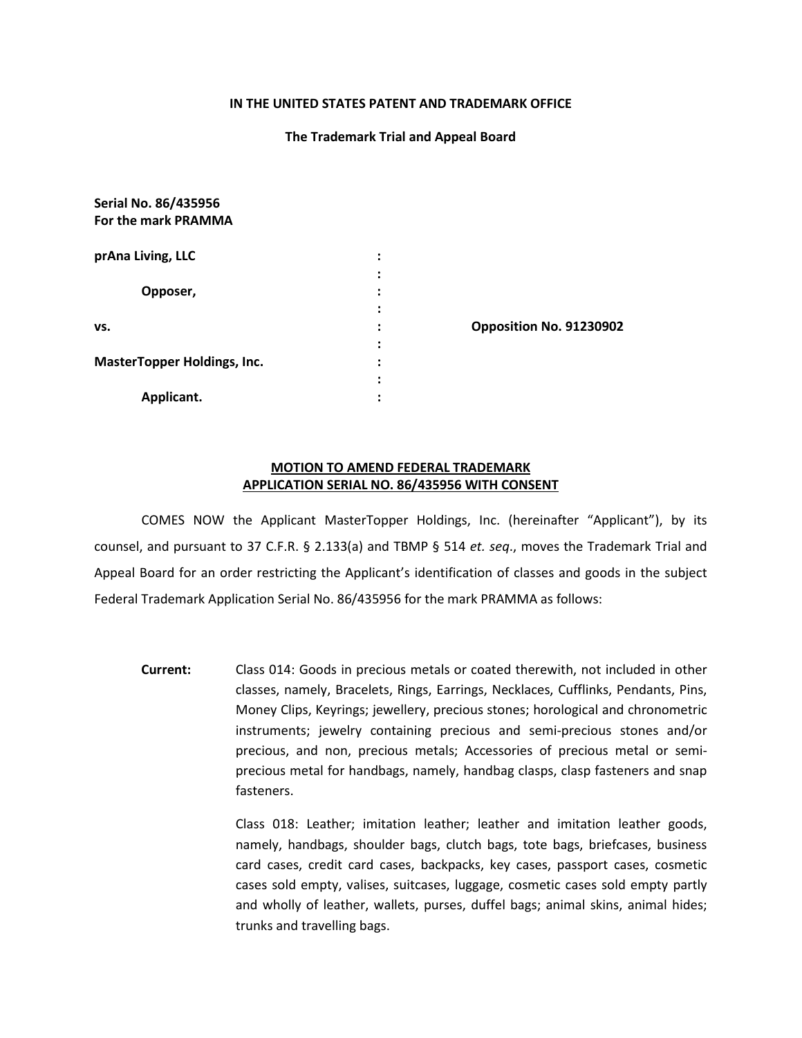#### **IN THE UNITED STATES PATENT AND TRADEMARK OFFICE**

#### **The Trademark Trial and Appeal Board**

| <b>Serial NO. 80/435950</b>        |                      |                         |
|------------------------------------|----------------------|-------------------------|
| For the mark PRAMMA                |                      |                         |
| prAna Living, LLC                  | :                    |                         |
|                                    | ٠<br>$\bullet$       |                         |
| Opposer,                           | ٠<br>$\bullet$       |                         |
|                                    | ٠<br>$\bullet$       |                         |
| VS.                                | $\ddot{\phantom{a}}$ | Opposition No. 91230902 |
|                                    | ٠<br>$\bullet$       |                         |
| <b>MasterTopper Holdings, Inc.</b> | ٠<br>$\bullet$       |                         |
|                                    | ٠<br>$\bullet$       |                         |
| Applicant.                         | ٠<br>$\blacksquare$  |                         |
|                                    |                      |                         |

**Serial No. 86/435956**

### **MOTION TO AMEND FEDERAL TRADEMARK APPLICATION SERIAL NO. 86/435956 WITH CONSENT**

COMES NOW the Applicant MasterTopper Holdings, Inc. (hereinafter "Applicant"), by its counsel, and pursuant to 37 C.F.R. § 2.133(a) and TBMP § 514 *et. seq*., moves the Trademark Trial and Appeal Board for an order restricting the Applicant's identification of classes and goods in the subject Federal Trademark Application Serial No. 86/435956 for the mark PRAMMA as follows:

**Current:** Class 014: Goods in precious metals or coated therewith, not included in other classes, namely, Bracelets, Rings, Earrings, Necklaces, Cufflinks, Pendants, Pins, Money Clips, Keyrings; jewellery, precious stones; horological and chronometric instruments; jewelry containing precious and semi-precious stones and/or precious, and non, precious metals; Accessories of precious metal or semiprecious metal for handbags, namely, handbag clasps, clasp fasteners and snap fasteners.

> Class 018: Leather; imitation leather; leather and imitation leather goods, namely, handbags, shoulder bags, clutch bags, tote bags, briefcases, business card cases, credit card cases, backpacks, key cases, passport cases, cosmetic cases sold empty, valises, suitcases, luggage, cosmetic cases sold empty partly and wholly of leather, wallets, purses, duffel bags; animal skins, animal hides; trunks and travelling bags.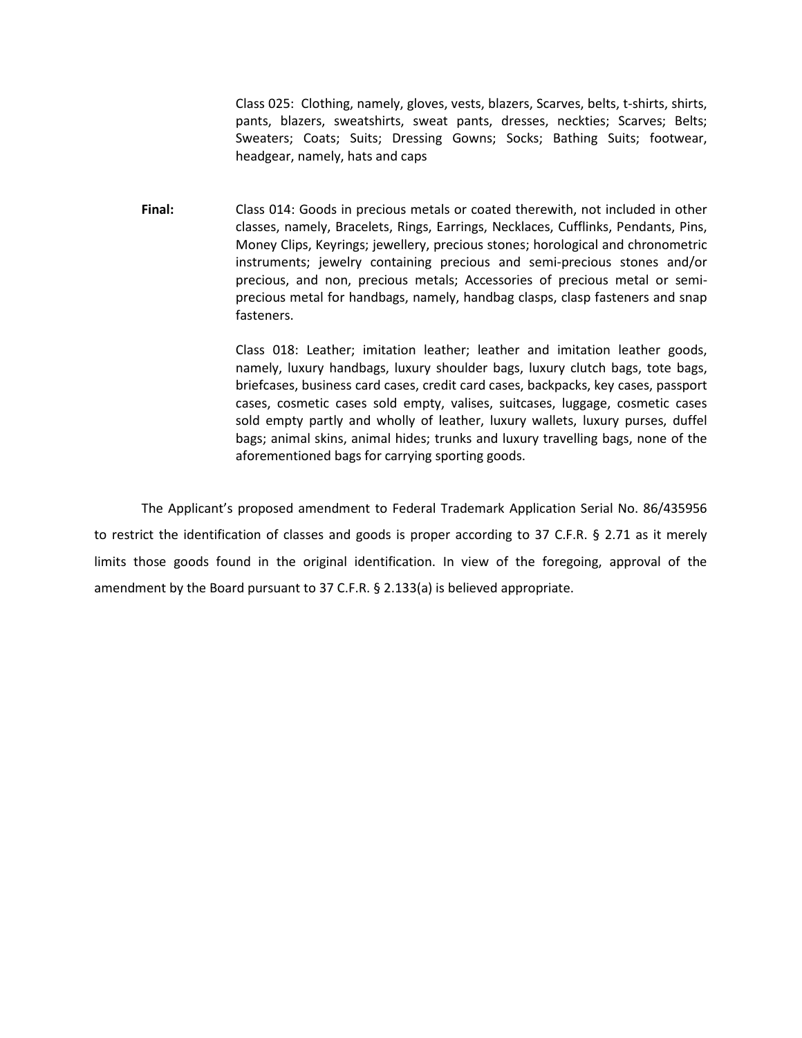Class 025: Clothing, namely, gloves, vests, blazers, Scarves, belts, t-shirts, shirts, pants, blazers, sweatshirts, sweat pants, dresses, neckties; Scarves; Belts; Sweaters; Coats; Suits; Dressing Gowns; Socks; Bathing Suits; footwear, headgear, namely, hats and caps

**Final:** Class 014: Goods in precious metals or coated therewith, not included in other classes, namely, Bracelets, Rings, Earrings, Necklaces, Cufflinks, Pendants, Pins, Money Clips, Keyrings; jewellery, precious stones; horological and chronometric instruments; jewelry containing precious and semi-precious stones and/or precious, and non, precious metals; Accessories of precious metal or semiprecious metal for handbags, namely, handbag clasps, clasp fasteners and snap fasteners.

> Class 018: Leather; imitation leather; leather and imitation leather goods, namely, luxury handbags, luxury shoulder bags, luxury clutch bags, tote bags, briefcases, business card cases, credit card cases, backpacks, key cases, passport cases, cosmetic cases sold empty, valises, suitcases, luggage, cosmetic cases sold empty partly and wholly of leather, luxury wallets, luxury purses, duffel bags; animal skins, animal hides; trunks and luxury travelling bags, none of the aforementioned bags for carrying sporting goods.

The Applicant's proposed amendment to Federal Trademark Application Serial No. 86/435956 to restrict the identification of classes and goods is proper according to 37 C.F.R. § 2.71 as it merely limits those goods found in the original identification. In view of the foregoing, approval of the amendment by the Board pursuant to 37 C.F.R. § 2.133(a) is believed appropriate.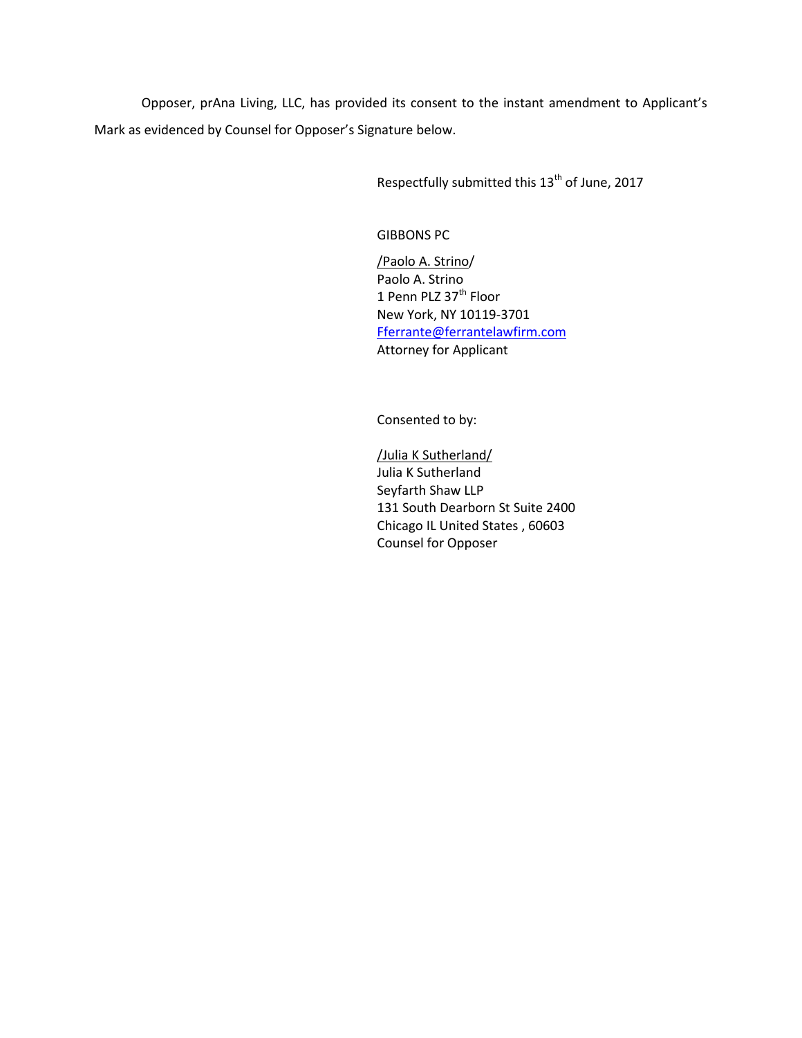Opposer, prAna Living, LLC, has provided its consent to the instant amendment to Applicant's Mark as evidenced by Counsel for Opposer's Signature below.

Respectfully submitted this 13<sup>th</sup> of June, 2017

GIBBONS PC

/Paolo A. Strino/ Paolo A. Strino 1 Penn PLZ 37<sup>th</sup> Floor New York, NY 10119-3701 [Fferrante@ferrantelawfirm.com](mailto:Fferrante@ferrantelawfirm.com) Attorney for Applicant

Consented to by:

/Julia K Sutherland/ Julia K Sutherland Seyfarth Shaw LLP 131 South Dearborn St Suite 2400 Chicago IL United States , 60603 Counsel for Opposer